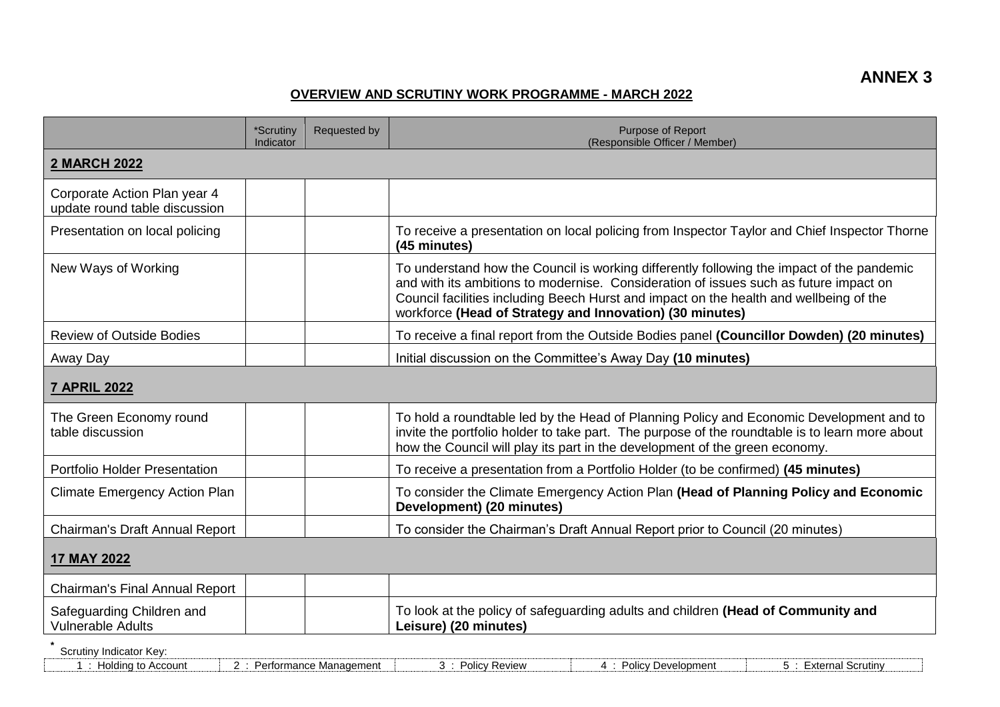## **OVERVIEW AND SCRUTINY WORK PROGRAMME - MARCH 2022**

|                                                               | *Scrutiny<br>Indicator | Requested by               | Purpose of Report<br>(Responsible Officer / Member)                                                                                                                                                                                                                                                                                      |  |  |  |
|---------------------------------------------------------------|------------------------|----------------------------|------------------------------------------------------------------------------------------------------------------------------------------------------------------------------------------------------------------------------------------------------------------------------------------------------------------------------------------|--|--|--|
| <b>2 MARCH 2022</b>                                           |                        |                            |                                                                                                                                                                                                                                                                                                                                          |  |  |  |
| Corporate Action Plan year 4<br>update round table discussion |                        |                            |                                                                                                                                                                                                                                                                                                                                          |  |  |  |
| Presentation on local policing                                |                        |                            | To receive a presentation on local policing from Inspector Taylor and Chief Inspector Thorne<br>(45 minutes)                                                                                                                                                                                                                             |  |  |  |
| New Ways of Working                                           |                        |                            | To understand how the Council is working differently following the impact of the pandemic<br>and with its ambitions to modernise. Consideration of issues such as future impact on<br>Council facilities including Beech Hurst and impact on the health and wellbeing of the<br>workforce (Head of Strategy and Innovation) (30 minutes) |  |  |  |
| <b>Review of Outside Bodies</b>                               |                        |                            | To receive a final report from the Outside Bodies panel (Councillor Dowden) (20 minutes)                                                                                                                                                                                                                                                 |  |  |  |
| Away Day                                                      |                        |                            | Initial discussion on the Committee's Away Day (10 minutes)                                                                                                                                                                                                                                                                              |  |  |  |
| <b>7 APRIL 2022</b>                                           |                        |                            |                                                                                                                                                                                                                                                                                                                                          |  |  |  |
| The Green Economy round<br>table discussion                   |                        |                            | To hold a roundtable led by the Head of Planning Policy and Economic Development and to<br>invite the portfolio holder to take part. The purpose of the roundtable is to learn more about<br>how the Council will play its part in the development of the green economy.                                                                 |  |  |  |
| <b>Portfolio Holder Presentation</b>                          |                        |                            | To receive a presentation from a Portfolio Holder (to be confirmed) (45 minutes)                                                                                                                                                                                                                                                         |  |  |  |
| <b>Climate Emergency Action Plan</b>                          |                        |                            | To consider the Climate Emergency Action Plan (Head of Planning Policy and Economic<br>Development) (20 minutes)                                                                                                                                                                                                                         |  |  |  |
| Chairman's Draft Annual Report                                |                        |                            | To consider the Chairman's Draft Annual Report prior to Council (20 minutes)                                                                                                                                                                                                                                                             |  |  |  |
| 17 MAY 2022                                                   |                        |                            |                                                                                                                                                                                                                                                                                                                                          |  |  |  |
| Chairman's Final Annual Report                                |                        |                            |                                                                                                                                                                                                                                                                                                                                          |  |  |  |
| Safeguarding Children and<br>Vulnerable Adults                |                        |                            | To look at the policy of safeguarding adults and children (Head of Community and<br>Leisure) (20 minutes)                                                                                                                                                                                                                                |  |  |  |
| Scrutiny Indicator Key:<br>1 : Holding to Account             |                        | 2 : Performance Management | 5 : External Scrutiny<br>3 : Policy Review<br>4 : Policy Development                                                                                                                                                                                                                                                                     |  |  |  |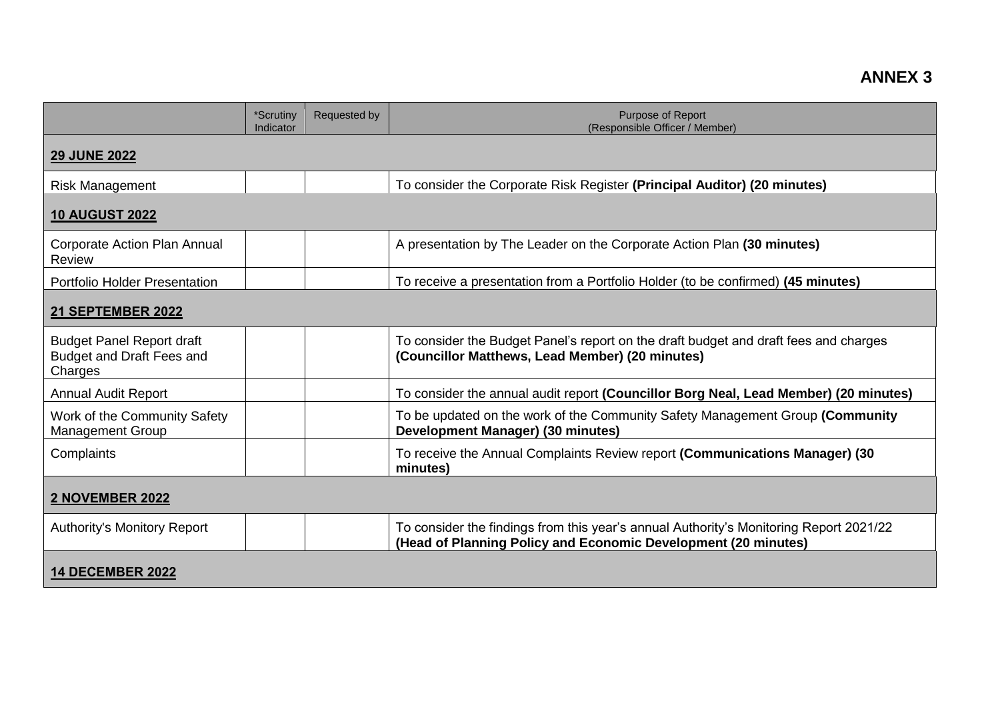|                                                                                 | *Scrutiny<br>Indicator | Requested by | <b>Purpose of Report</b><br>(Responsible Officer / Member)                                                                                               |  |  |
|---------------------------------------------------------------------------------|------------------------|--------------|----------------------------------------------------------------------------------------------------------------------------------------------------------|--|--|
| <b>29 JUNE 2022</b>                                                             |                        |              |                                                                                                                                                          |  |  |
| <b>Risk Management</b>                                                          |                        |              | To consider the Corporate Risk Register (Principal Auditor) (20 minutes)                                                                                 |  |  |
| <b>10 AUGUST 2022</b>                                                           |                        |              |                                                                                                                                                          |  |  |
| Corporate Action Plan Annual<br>Review                                          |                        |              | A presentation by The Leader on the Corporate Action Plan (30 minutes)                                                                                   |  |  |
| <b>Portfolio Holder Presentation</b>                                            |                        |              | To receive a presentation from a Portfolio Holder (to be confirmed) (45 minutes)                                                                         |  |  |
| 21 SEPTEMBER 2022                                                               |                        |              |                                                                                                                                                          |  |  |
| <b>Budget Panel Report draft</b><br><b>Budget and Draft Fees and</b><br>Charges |                        |              | To consider the Budget Panel's report on the draft budget and draft fees and charges<br>(Councillor Matthews, Lead Member) (20 minutes)                  |  |  |
| <b>Annual Audit Report</b>                                                      |                        |              | To consider the annual audit report (Councillor Borg Neal, Lead Member) (20 minutes)                                                                     |  |  |
| Work of the Community Safety<br><b>Management Group</b>                         |                        |              | To be updated on the work of the Community Safety Management Group (Community<br>Development Manager) (30 minutes)                                       |  |  |
| Complaints                                                                      |                        |              | To receive the Annual Complaints Review report (Communications Manager) (30<br>minutes)                                                                  |  |  |
| <b>2 NOVEMBER 2022</b>                                                          |                        |              |                                                                                                                                                          |  |  |
| <b>Authority's Monitory Report</b>                                              |                        |              | To consider the findings from this year's annual Authority's Monitoring Report 2021/22<br>(Head of Planning Policy and Economic Development (20 minutes) |  |  |
| <b>14 DECEMBER 2022</b>                                                         |                        |              |                                                                                                                                                          |  |  |